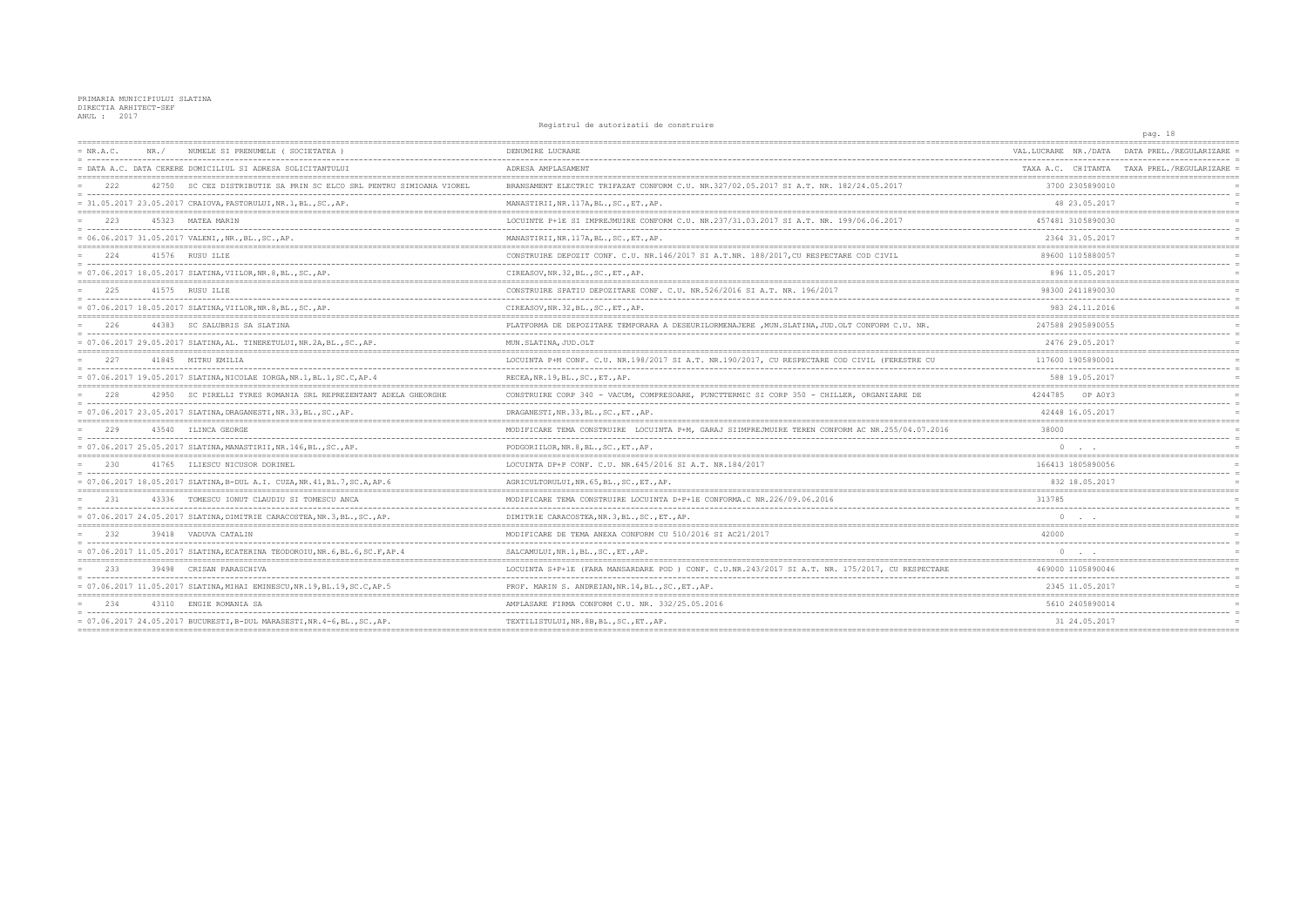|             |                                                                                    | Registrat de autorizatii de construite                                                           |                      | pag. 18                                      |
|-------------|------------------------------------------------------------------------------------|--------------------------------------------------------------------------------------------------|----------------------|----------------------------------------------|
| $= NR.A.C.$ | NUMELE ST PRENUMELE (SOCIETATEA)<br>$NR$ /                                         | DENUMIRE LUCRARE                                                                                 | VAL.LUCRARE NR./DATA | DATA PREL./REGULARIZARE                      |
|             | = DATA A.C. DATA CERERE DOMICILIUL SI ADRESA SOLICITANTULUI                        | ADRESA AMPLASAMENT                                                                               |                      | TAXA A.C. CHITANTA TAXA PREL. / REGULARIZARE |
| 222         | SC CEZ DISTRIBUTIE SA PRIN SC ELCO SRL PENTRU SIMIOANA VIOREL                      | BRANSAMENT ELECTRIC TRIFAZAT CONFORM C.U. NR.327/02.05.2017 SI A.T. NR. 182/24.05.2017           | 3700 2305890010      |                                              |
|             | = 31.05.2017 23.05.2017 CRAIOVA, PASTORULUI, NR.1, BL., SC., AP.                   | MANASTIRII, NR. 117A, BL., SC., ET., AP.                                                         | 48 23.05.2017        |                                              |
| 223         | 45323 MATEA MARIN                                                                  | LOCUINTE P+1E SI IMPREJMUIRE CONFORM C.U. NR.237/31.03.2017 SI A.T. NR. 199/06.06.2017           | 457481 3105890030    |                                              |
|             | $= 06.06.2017 31.05.2017$ VALENI,, NR., BL., SC., AP.                              | MANASTIRII, NR. 117A, BL., SC., ET., AP.                                                         | 2364 31.05.2017      |                                              |
| -224        | 41576 RUSU ILIE                                                                    | CONSTRUIRE DEPOZIT CONF. C.U. NR.146/2017 SI A.T.NR. 188/2017, CU RESPECTARE COD CIVIL           | 89600 1105880057     |                                              |
|             | = 07.06.2017 18.05.2017 SLATINA, VIILOR, NR. 8, BL., SC., AP.                      | CIREASOV, NR. 32, BL., SC., ET., AP.                                                             | 896 11.05.2017       |                                              |
| 225         | 41575 RUSU ILIE                                                                    | CONSTRUIRE SPATIU DEPOZITARE CONF. C.U. NR.526/2016 SI A.T. NR. 196/2017                         | 98300 2411890030     |                                              |
|             | = 07.06.2017 18.05.2017 SLATINA, VIILOR, NR. 8, BL., SC., AP.                      | CIREASOV, NR. 32, BL., SC., ET., AP.                                                             | 983 24.11.2016       |                                              |
| 226         | 44383 SC SALUBRIS SA SLATINA                                                       | PLATFORMA DE DEPOZITARE TEMPORARA A DESEURILORMENAJERE, MUN. SLATINA, JUD. OLT CONFORM C.U. NR.  | 247588 2905890055    |                                              |
|             | = 07.06.2017 29.05.2017 SLATINA, AL. TINERETULUI, NR.2A, BL., SC., AP.             | MUN.SLATINA, JUD.OLT                                                                             | 2476 29.05.2017      |                                              |
| 227         | 41845 MITRU EMILIA                                                                 | LOCUINTA P+M CONF. C.U. NR.198/2017 SI A.T. NR.190/2017, CU RESPECTARE COD CIVIL (FERESTRE CU    | 117600 1905890001    |                                              |
|             | = 07.06.2017 19.05.2017 SLATINA, NICOLAE IORGA, NR.1, BL.1, SC.C, AP.4             | RECEA, NR.19, BL., SC., ET., AP.                                                                 | 588 19.05.2017       |                                              |
| 228         | 42950 SC PIRELLI TYRES ROMANIA SRL REPREZENTANT ADELA GHEORGHE                     | CONSTRUIRE CORP 340 - VACUM, COMPRESOARE, PUNCTTERMIC SI CORP 350 - CHILLER, ORGANIZARE DE       | 4244785<br>OP A0Y3   |                                              |
|             | = 07.06.2017 23.05.2017 SLATINA, DRAGANESTI, NR.33, BL., SC., AP.                  | DRAGANESTI, NR. 33, BL., SC., ET., AP.                                                           | 42448 16.05.2017     |                                              |
| 229         | 43540 ILINCA GEORGE                                                                | MODIFICARE TEMA CONSTRUIRE  LOCUINTA P+M, GARAJ SIIMPREJMUIRE TEREN CONFORM AC NR.255/04.07.2016 | 38000                |                                              |
|             | = 07.06.2017 25.05.2017 SLATINA, MANASTIRII, NR.146, BL., SC., AP.                 | PODGORIILOR, NR. 8, BL., SC., ET., AP.                                                           | $\circ$              |                                              |
| 230         | 41765 ILIESCU NICUSOR DORINEL                                                      | LOCUINTA DP+P CONF. C.U. NR.645/2016 SI A.T. NR.184/2017                                         | 166413 1805890056    |                                              |
|             | = 07.06.2017 18.05.2017 SLATINA, B-DUL A.I. CUZA, NR.41, BL.7, SC.A, AP.6          | AGRICULTORULUI, NR. 65, BL., SC., ET., AP.                                                       | 832 18.05.2017       |                                              |
| -2.31       | 43336 TOMESCU IONUT CLAUDIU SI TOMESCU ANCA                                        | MODIFICARE TEMA CONSTRUIRE LOCUINTA D+P+1E CONFORMA.C NR.226/09.06.2016                          | 313785               |                                              |
|             | = 07.06.2017 24.05.2017 SLATINA, DIMITRIE CARACOSTEA, NR.3, BL., SC., AP.          | DIMITRIE CARACOSTEA, NR. 3, BL., SC., ET., AP.                                                   |                      |                                              |
| 232         | 39418 VADUVA CATALIN                                                               | MODIFICARE DE TEMA ANEXA CONFORM CU 510/2016 SI AC21/2017                                        | 42000                |                                              |
|             | = $07.06.2017$ $11.05.2017$ SLATINA, ECATERINA TEODOROIU, NR. 6, BL. 6, SC. F, AP. | SALCAMULUI, NR. 1, BL., SC., ET., AP.                                                            |                      |                                              |
| 233         | 39498 CRISAN PARASCHIVA                                                            | LOCUINTA S+P+1E (FARA MANSARDARE POD ) CONF. C.U.NR.243/2017 SI A.T. NR. 175/2017, CU RESPECTARE | 469000 1105890046    |                                              |
|             | = 07.06.2017 11.05.2017 SLATINA, MIHAI EMINESCU, NR.19, BL.19, SC.C, AP.5          | PROF. MARIN S. ANDREIAN, NR.14, BL., SC., ET., AP.                                               | 2345 11.05.2017      |                                              |
| 234         | 43110 ENGIE ROMANIA SA                                                             | AMPLASARE FIRMA CONFORM C.U. NR. 332/25.05.2016                                                  | 5610 2405890014      | ------------------------------------         |
|             | = 07.06.2017 24.05.2017 BUCURESTI, B-DUL MARASESTI, NR.4-6, BL., SC., AP.          | TEXTILISTULUI, NR. 8B, BL., SC., ET., AP.                                                        | 31 24.05.2017        |                                              |
|             |                                                                                    |                                                                                                  |                      |                                              |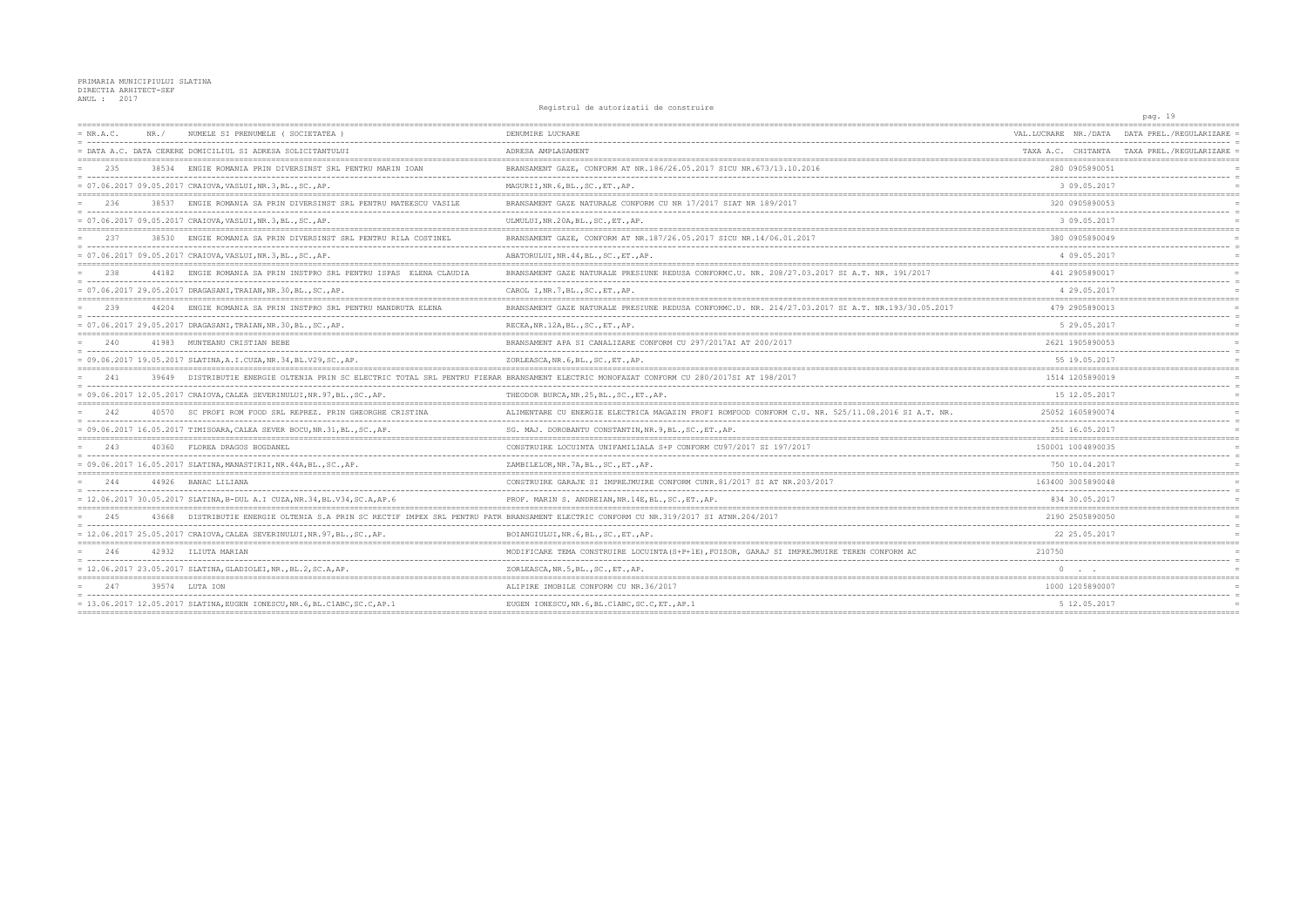|             |       |                                                                                                                                        | Registrul de autorizatii de construire                                                            |                      | pag. 19                                      |
|-------------|-------|----------------------------------------------------------------------------------------------------------------------------------------|---------------------------------------------------------------------------------------------------|----------------------|----------------------------------------------|
| $= NR.A.C.$ | NR. / | NUMELE SI PRENUMELE ( SOCIETATEA                                                                                                       | DENUMIRE LUCRARE                                                                                  | VAL.LUCRARE NR./DATA | DATA PREL./REGULARIZARE                      |
|             |       | = DATA A.C. DATA CERERE DOMICILIUL SI ADRESA SOLICITANTULUI                                                                            | ADRESA AMPLASAMENT                                                                                |                      | TAXA A.C. CHITANTA TAXA PREL. / REGULARIZARE |
| 235         |       | 38534 ENGIE ROMANIA PRIN DIVERSINST SRL PENTRU MARIN IOAN                                                                              | BRANSAMENT GAZE, CONFORM AT NR.186/26.05.2017 SICU NR.673/13.10.2016                              | 280 0905890051       |                                              |
|             |       | = 07.06.2017 09.05.2017 CRAIOVA,VASLUI,NR.3,BL.,SC.,AP.                                                                                | MAGURII, NR. 6, BL., SC., ET., AP.                                                                | 3 09.05.2017         |                                              |
| 236         |       | 38537 ENGIE ROMANIA SA PRIN DIVERSINST SRL PENTRU MATEESCU VASILE                                                                      | BRANSAMENT GAZE NATURALE CONFORM CU NR 17/2017 SIAT NR 189/2017                                   | 320 0905890053       |                                              |
|             |       | = 07.06.2017 09.05.2017 CRAIOVA, VASLUI, NR.3, BL., SC., AP.                                                                           | ULMULUI, NR.20A, BL., SC., ET., AP.                                                               | 3 09.05.2017         |                                              |
| 2.37        |       | 38530 ENGIE ROMANIA SA PRIN DIVERSINST SRL PENTRU RILA COSTINEI                                                                        | BRANSAMENT GAZE, CONFORM AT NR.187/26.05.2017 SICU NR.14/06.01.2017                               | 380 0905890049       |                                              |
|             |       | = 07.06.2017 09.05.2017 CRAIOVA, VASLUI, NR.3, BL., SC., AP.                                                                           | ABATORULUI, NR. 44, BL., SC., ET., AP.                                                            | 4 09.05.2017         |                                              |
| 238         |       | 44182 ENGIE ROMANIA SA PRIN INSTPRO SRL PENTRU ISPAS ELENA CLAUDIA                                                                     | BRANSAMENT GAZE NATURALE PRESIUNE REDUSA CONFORMC.U. NR. 208/27.03.2017 SI A.T. NR. 191/2017      | 441 2905890017       |                                              |
|             |       | = 07.06.2017 29.05.2017 DRAGASANI,TRAIAN,NR.30,BL.,SC.,AP.                                                                             | CAROL I, NR. 7, BL., SC., ET., AP.                                                                | 4 29.05.2017         |                                              |
| 239         |       | 44204 ENGIE ROMANIA SA PRIN INSTPRO SRL PENTRU MANDRUTA ELENA                                                                          | BRANSAMENT GAZE NATURALE PRESIUNE REDUSA CONFORMC.U. NR. 214/27.03.2017 SI A.T. NR.193/30.05.2017 | 479 2905890013       |                                              |
|             |       | = 07.06.2017 29.05.2017 DRAGASANI,TRAIAN,NR.30,BL.,SC.,AP.                                                                             | RECEA, NR. 12A, BL., SC., ET., AP.                                                                | 5 29.05.2017         |                                              |
| 2.40        |       | 41983 MUNTEANU CRISTIAN BEBE                                                                                                           | BRANSAMENT APA SI CANALIZARE CONFORM CU 297/2017AI AT 200/2017                                    | 2621 1905890053      |                                              |
|             |       | = 09.06.2017 19.05.2017 SLATINA, A.I.CUZA, NR.34, BL.V29, SC., AP.                                                                     | ZORLEASCA, NR. 6, BL., SC., ET., AP.                                                              | 55 19.05.2017        |                                              |
| 2.41        | 39649 | DISTRIBUTIE ENERGIE OLTENIA PRIN SC ELECTRIC TOTAL SRL PENTRU FIERAR BRANSAMENT ELECTRIC MONOFAZAT CONFORM CU 280/2017SI AT 198/2017   |                                                                                                   | 1514 1205890019      |                                              |
|             |       | = 09.06.2017 12.05.2017 CRAIOVA, CALEA SEVERINULUI, NR.97, BL., SC., AP.                                                               | THEODOR BURCA, NR. 25, BL., SC., ET., AP.                                                         | 15 12.05.2017        |                                              |
| 242         |       | 40570 SC PROFI ROM FOOD SRL REPREZ. PRIN GHEORGHE CRISTINA                                                                             | ALIMENTARE CU ENERGIE ELECTRICA MAGAZIN PROFI ROMFOOD CONFORM C.U. NR. 525/11.08.2016 SI A.T. NR. | 25052 1605890074     |                                              |
|             |       | = 09.06.2017 16.05.2017 TIMISOARA, CALEA SEVER BOCU, NR.31, BL., SC., AP.                                                              | SG. MAJ. DOROBANTU CONSTANTIN, NR. 9, BL., SC., ET., AP.                                          | 251 16.05.2017       |                                              |
| 243         |       | 40360 FLOREA DRAGOS BOGDANEL                                                                                                           | CONSTRUIRE LOCUINTA UNIFAMILIALA S+P CONFORM CU97/2017 SI 197/2017                                | 150001 1004890035    |                                              |
|             |       | = 09.06.2017 16.05.2017 SLATINA, MANASTIRII, NR.44A, BL., SC., AP.                                                                     | ZAMBILELOR, NR. 7A, BL., SC., ET., AP.                                                            | 750 10.04.2017       |                                              |
| 244         |       | 44926 BANAC LILIANA                                                                                                                    | CONSTRUIRE GARAJE SI IMPREJMUIRE CONFORM CUNR. 81/2017 SI AT NR. 203/2017                         | 163400 3005890048    |                                              |
|             |       | = 12.06.2017 30.05.2017 SLATINA, B-DUL A.I CUZA, NR.34, BL.V34, SC.A, AP.6                                                             | PROF. MARIN S. ANDREIAN, NR. 14E, BL., SC., ET., AP.                                              | 834 30.05.2017       |                                              |
| 245         |       | 43668 DISTRIBUTIE ENERGIE OLTENIA S.A PRIN SC RECTIF IMPEX SRL PENTRU PATR BRANSAMENT ELECTRIC CONFORM CU NR.319/2017 SI ATNR.204/2017 |                                                                                                   | 2190 2505890050      |                                              |
|             |       | = 12.06.2017 25.05.2017 CRAIOVA, CALEA SEVERINULUI, NR.97, BL., SC., AP.                                                               | BOIANGIULUI, NR. 6, BL., SC., ET., AP.                                                            | 22 25 05 2017        |                                              |
| 246         |       | 42932 ILIUTA MARIAN                                                                                                                    | MODIFICARE TEMA CONSTRUIRE LOCUINTA (S+P+1E), FOISOR, GARAJ SI IMPREJMUIRE TEREN CONFORM AC       | 210750               |                                              |
|             |       | = 12.06.2017 23.05.2017 SLATINA, GLADIOLEI, NR., BL.2, SC.A, AP.                                                                       | ZORLEASCA, NR.5, BL., SC., ET., AP.                                                               |                      |                                              |
| 2.47        |       | 39574 LUTA ION                                                                                                                         | ALIPIRE IMOBILE CONFORM CU NR.36/2017                                                             | 1000 1205890007      |                                              |
|             |       | = 13.06.2017 12.05.2017 SLATINA, EUGEN IONESCU, NR.6, BL.C1ABC, SC.C, AP.1                                                             | EUGEN IONESCU, NR. 6, BL. C1ABC, SC. C, ET., AP. 1                                                | 5 12.05.2017         |                                              |
|             |       |                                                                                                                                        |                                                                                                   |                      |                                              |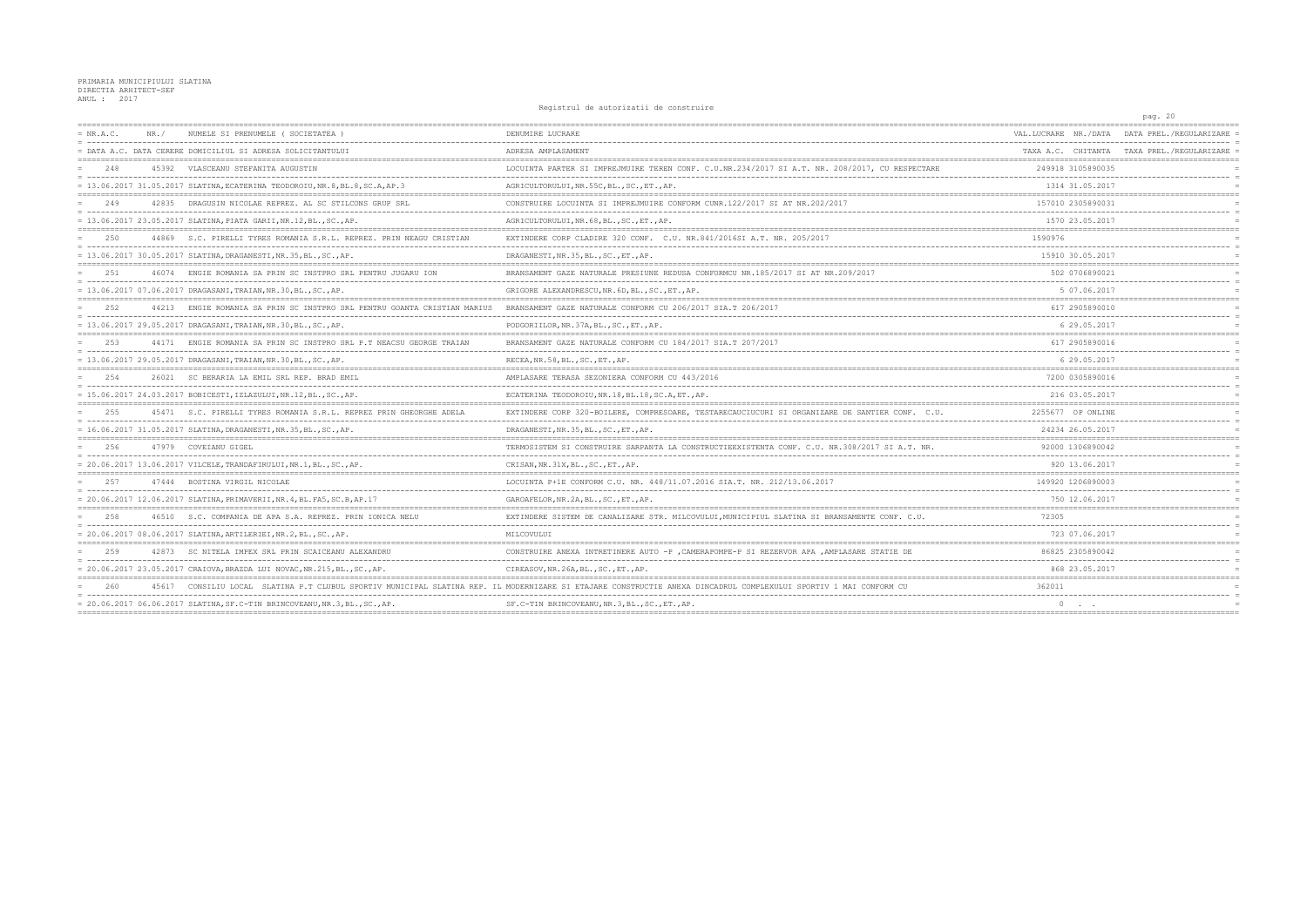```
Registrul de autorizatii de construire
```

|             |       |                                                                              | Registrul de autorizatii de construire                                                                                                     |                                              | pag. 20                                    |
|-------------|-------|------------------------------------------------------------------------------|--------------------------------------------------------------------------------------------------------------------------------------------|----------------------------------------------|--------------------------------------------|
| $= NR.A.C.$ | NR. / | NUMELE SI PRENUMELE ( SOCIETATEA                                             | DENUMIRE LUCRARE                                                                                                                           | VAL.LUCRARE NR./DATA                         | DATA PREL./REGULARIZARE                    |
|             |       | = DATA A.C. DATA CERERE DOMICILIUL SI ADRESA SOLICITANTULUI                  | ADRESA AMPLASAMENT                                                                                                                         |                                              | TAXA A.C. CHITANTA TAXA PREL./REGULARIZARE |
| 248         |       | 45392 VLASCEANU STEFANITA AUGUSTIN                                           | LOCUINTA PARTER SI IMPREJMUIRE TEREN CONF. C.U.NR.234/2017 SI A.T. NR. 208/2017, CU RESPECTARE                                             | 249918 3105890035                            |                                            |
|             |       | = 13.06.2017 31.05.2017 SLATINA, ECATERINA TEODOROIU, NR.8, BL.8, SC.A, AP.3 | AGRICULTORULUI, NR.55C, BL., SC., ET., AP.                                                                                                 | 1314 31.05.2017                              |                                            |
| 249         |       | 42835 DRAGUSIN NICOLAE REPREZ. AL SC STILCONS GRUP SRL                       | CONSTRUIRE LOCUINTA SI IMPREJMUIRE CONFORM CUNR.122/2017 SI AT NR.202/2017                                                                 | 157010 2305890031                            |                                            |
|             |       | = 13.06.2017 23.05.2017 SLATINA, PIATA GARII, NR.12, BL., SC., AP.           | AGRICULTORULUI, NR. 68, BL., SC., ET., AP.                                                                                                 | 1570 23.05.2017                              |                                            |
| 2.50        |       | 44869 S.C. PIRELLI TYRES ROMANIA S.R.L. REPREZ. PRIN NEAGU CRISTIAN          | EXTINDERE CORP CLADIRE 320 CONF. C.U. NR.841/2016SI A.T. NR. 205/2017                                                                      | 1590976                                      |                                            |
|             |       | = 13.06.2017 30.05.2017 SLATINA, DRAGANESTI, NR.35, BL., SC., AP.            | DRAGANESTI, NR. 35, BL., SC., ET., AP.                                                                                                     | 15910 30.05.2017                             |                                            |
| 251         |       | 46074 ENGIE ROMANIA SA PRIN SC INSTPRO SRL PENTRU JUGARU ION                 | BRANSAMENT GAZE NATURALE PRESIUNE REDUSA CONFORMCU NR.185/2017 SI AT NR.209/2017                                                           | 502 0706890021                               |                                            |
|             |       | = 13.06.2017 07.06.2017 DRAGASANI, TRAIAN, NR.30, BL., SC., AP.              | GRIGORE ALEXANDRESCU, NR. 6D, BL., SC., ET., AP.                                                                                           | 5 07.06.2017                                 |                                            |
| 2.52        |       | 44213 ENGIE ROMANIA SA PRIN SC INSTPRO SRL PENTRU GOANTA CRISTIAN MARIUS     | BRANSAMENT GAZE NATURALE CONFORM CU 206/2017 SIA.T 206/2017                                                                                | 617 2905890010                               |                                            |
|             |       | = 13.06.2017 29.05.2017 DRAGASANI, TRAIAN, NR.30, BL., SC., AP.              | PODGORIILOR, NR.37A, BL., SC., ET., AP.                                                                                                    | 6 29.05.2017                                 |                                            |
| 2.53        |       | 44171 ENGIE ROMANIA SA PRIN SC INSTPRO SRL P.T NEACSU GEORGE TRAIAN          | BRANSAMENT GAZE NATURALE CONFORM CU 184/2017 SIA.T 207/2017                                                                                | 617 2905890016                               |                                            |
|             |       | = 13.06.2017 29.05.2017 DRAGASANI, TRAIAN, NR.30, BL., SC., AP.              | RECEA, NR.58, BL., SC., ET., AP.                                                                                                           | 6 29.05.2017                                 |                                            |
| 254         |       | 26021 SC BERARIA LA EMIL SRL REP. BRAD EMIL                                  | AMPLASARE TERASA SEZONIERA CONFORM CU 443/2016                                                                                             | 7200 0305890016                              |                                            |
|             |       | $= 15.06.2017 24.03.2017 BOBICESTI, IZLAZULUI, NR.12,BL., SC., AP.$          | ECATERINA TEODOROIU, NR.18, BL.18, SC.A, ET., AP.                                                                                          | 216 03.05.2017                               |                                            |
| 255         |       | 45471 S.C. PIRELLI TYRES ROMANIA S.R.L. REPREZ PRIN GHEORGHE ADELA           | EXTINDERE CORP 320-BOILERE, COMPRESOARE, TESTARECAUCIUCURI SI ORGANIZARE DE SANTIER CONF. C.U.                                             | 2255677 OP ONLINE                            |                                            |
|             |       | = 16.06.2017 31.05.2017 SLATINA, DRAGANESTI, NR.35, BL., SC., AP.            | DRAGANESTI, NR. 35, BL., SC., ET., AP.                                                                                                     | 24234 26.05.2017                             |                                            |
| 2.56        |       | 47979 COVEIANU GIGEL                                                         | TERMOSISTEM SI CONSTRUIRE SARPANTA LA CONSTRUCTIEEXISTENTA CONF. C.U. NR.308/2017 SI A.T. NR.                                              | 92000 1306890042                             |                                            |
|             |       | = 20.06.2017 13.06.2017 VILCELE, TRANDAFIRULUI, NR.1, BL., SC., AP.          | CRISAN, NR. 31X, BL., SC., ET., AP.                                                                                                        | 920 13.06.2017                               |                                            |
| 257         |       | 47444 BOSTINA VIRGIL NICOLAE                                                 | LOCUINTA P+1E CONFORM C.U. NR. 448/11.07.2016 SIA.T. NR. 212/13.06.2017                                                                    | 149920 1206890003                            |                                            |
|             |       | = 20.06.2017 12.06.2017 SLATINA, PRIMAVERII, NR. 4, BL. FA5, SC. B, AP. 17   | GAROAFELOR, NR. 2A, BL., SC., ET., AP.                                                                                                     | 750 12.06.2017                               |                                            |
| 2.58        |       | 46510 S.C. COMPANIA DE APA S.A. REPREZ. PRIN IONICA NELU                     | EXTINDERE SISTEM DE CANALIZARE STR. MILCOVULUI, MUNICIPIUL SLATINA SI BRANSAMENTE CONF. C.U.                                               | 72305                                        |                                            |
|             |       | = 20.06.2017 08.06.2017 SLATINA, ARTILERIEI, NR.2, BL., SC., AP.             | MILCOVULUI                                                                                                                                 | 723 07.06.2017                               |                                            |
| 2.59        |       | 42873 SC NITELA IMPEX SRL PRIN SCAICEANU ALEXANDRU                           | CONSTRUIRE ANEXA INTRETINERE AUTO -P , CAMERAPOMPE-P SI REZERVOR APA , AMPLASARE STATIE DE                                                 | 86825 2305890042<br>---------------------    |                                            |
|             |       | $= 20.06.2017 23.05.2017 CRAIOVA, BRAZDA LUI NOVAC,NR.215,BL., SC., AP.$     | CIREASOV, NR. 26A, BL., SC., ET., AP.                                                                                                      | 868 23.05.2017                               |                                            |
| 260         | 45617 |                                                                              | CONSILIU LOCAL SLATINA P.T CLUBUL SPORTIV MUNICIPAL SLATINA REP. IL MODERNIZARE SI ETAJARE CONSTRUCTIE ANEXA DINCADRUL COMPLEXULUI SPORTIV | 362011                                       |                                            |
|             |       | = 20.06.2017 06.06.2017 SLATINA, SF.C-TIN BRINCOVEANU, NR.3, BL., SC., AP.   | SF.C-TIN BRINCOVEANU, NR.3, BL., SC., ET., AP.                                                                                             | $\circ$<br><b>Contract Contract Contract</b> |                                            |
|             |       |                                                                              |                                                                                                                                            |                                              |                                            |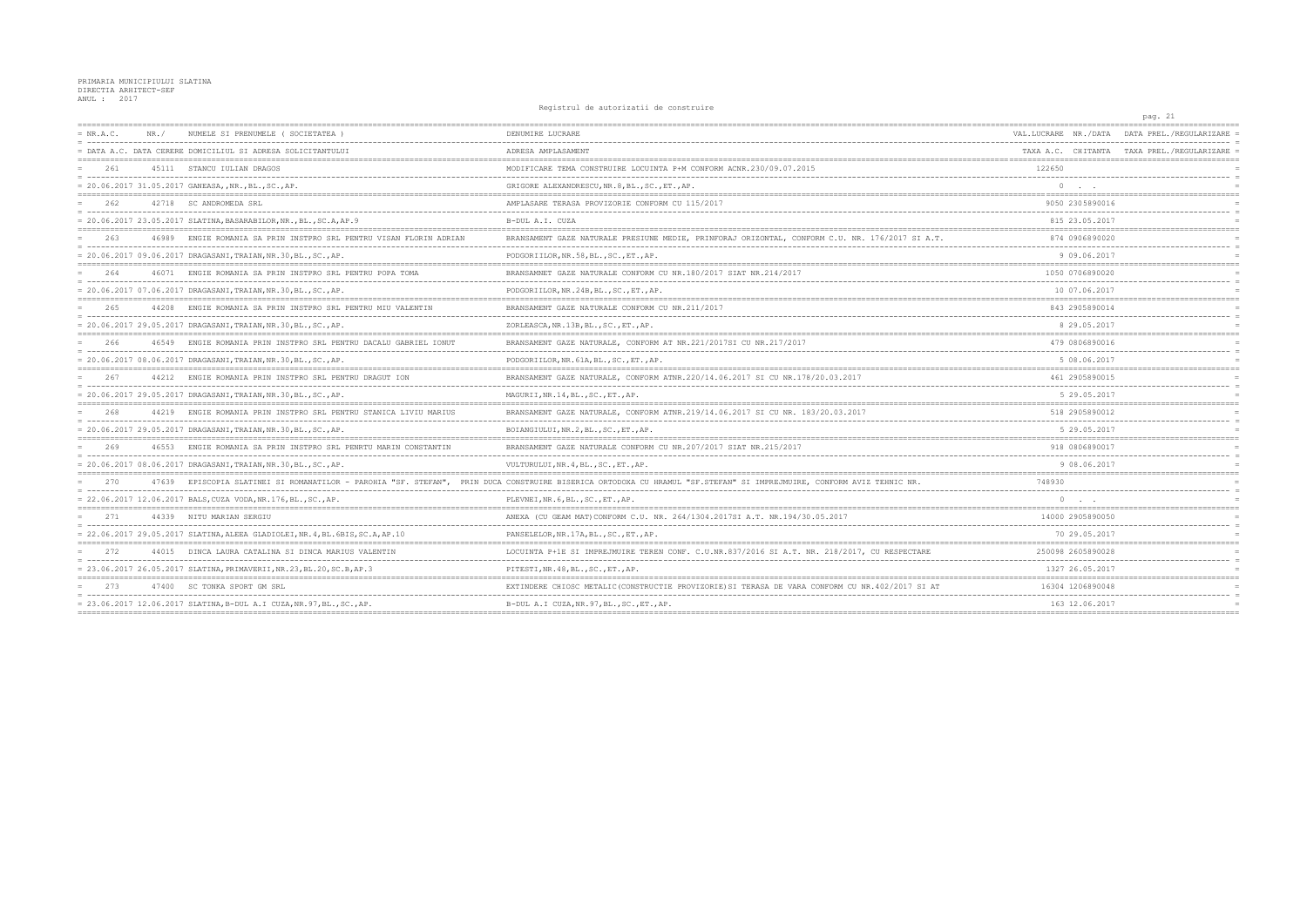|             |       |                                                                                  |                                                                                                                                                                      |                                                 | pag. 21                                      |
|-------------|-------|----------------------------------------------------------------------------------|----------------------------------------------------------------------------------------------------------------------------------------------------------------------|-------------------------------------------------|----------------------------------------------|
| $= NR.A.C.$ | NR. / | NUMELE SI PRENUMELE ( SOCIETATEA                                                 | DENUMIRE LUCRARE                                                                                                                                                     | VAL.LUCRARE NR./DATA                            | DATA PREL./REGULARIZARE                      |
|             |       | = DATA A.C. DATA CERERE DOMICILIUL SI ADRESA SOLICITANTULUI                      | ADRESA AMPLASAMENT                                                                                                                                                   |                                                 | TAXA A.C. CHITANTA TAXA PREL. / REGULARIZARE |
| 2.61        |       | 45111 STANCU IULIAN DRAGOS                                                       | MODIFICARE TEMA CONSTRUIRE LOCUINTA P+M CONFORM ACNR.230/09.07.2015                                                                                                  | 122650                                          |                                              |
|             |       | = 20.06.2017 31.05.2017 GANEASA,, NR., BL., SC., AP.                             | GRIGORE ALEXANDRESCU, NR. 8, BL., SC., ET., AP.                                                                                                                      |                                                 |                                              |
| 2.62        |       | 42718 SC ANDROMEDA SRL                                                           | AMPLASARE TERASA PROVIZORIE CONFORM CU 115/2017                                                                                                                      | 9050 2305890016                                 |                                              |
|             |       | = 20.06.2017 23.05.2017 SLATINA, BASARABILOR, NR., BL., SC.A, AP.9               | B-DUL A.I. CUZA                                                                                                                                                      | 815 23.05.2017                                  |                                              |
| 263         |       | 46989 ENGIE ROMANIA SA PRIN INSTPRO SRL PENTRU VISAN FLORIN ADRIAN               | BRANSAMENT GAZE NATURALE PRESIUNE MEDIE, PRINFORAJ ORIZONTAL, CONFORM C.U. NR. 176/2017 SI A.T.                                                                      | 874 0906890020                                  |                                              |
|             |       | = 20.06.2017 09.06.2017 DRAGASANI,TRAIAN,NR.30,BL.,SC.,AP.                       | PODGORIILOR, NR.58, BL., SC., ET., AP.                                                                                                                               | 9 09.06.2017                                    |                                              |
| 264         |       | 46071 ENGIE ROMANIA SA PRIN INSTPRO SRL PENTRU POPA TOMA                         | BRANSAMNET GAZE NATURALE CONFORM CU NR.180/2017 SIAT NR.214/2017                                                                                                     | 1050 0706890020                                 |                                              |
|             |       | = 20.06.2017 07.06.2017 DRAGASANI, TRAIAN, NR.30, BL., SC., AP.                  | PODGORIILOR, NR.24B, BL., SC., ET., AP.                                                                                                                              | 10 07.06.2017                                   |                                              |
| 265         |       | 44208 ENGIE ROMANIA SA PRIN INSTPRO SRL PENTRU MIU VALENTIN                      | BRANSAMENT GAZE NATURALE CONFORM CU NR.211/2017                                                                                                                      | 843 2905890014                                  |                                              |
|             |       | $= 20.06.2017 29.05.2017 DRAGASANI, TRAIAN, NR.30, BL., SC., AP.$                | ZORLEASCA, NR.13B, BL., SC., ET., AP.                                                                                                                                | 8 29.05.2017                                    |                                              |
| 266         |       | 46549 ENGIE ROMANIA PRIN INSTPRO SRL PENTRU DACALU GABRIEL IONUT                 | BRANSAMENT GAZE NATURALE, CONFORM AT NR.221/2017SI CU NR.217/2017                                                                                                    | 479 0806890016                                  |                                              |
|             |       | = 20.06.2017 08.06.2017 DRAGASANI, TRAIAN, NR.30, BL., SC., AP.                  | PODGORIILOR, NR. 61A, BL., SC., ET., AP.                                                                                                                             | 5 08.06.2017                                    |                                              |
| 267         |       | 44212 ENGIE ROMANIA PRIN INSTPRO SRL PENTRU DRAGUT ION                           | BRANSAMENT GAZE NATURALE, CONFORM ATNR.220/14.06.2017 SI CU NR.178/20.03.2017                                                                                        | 461 2905890015                                  |                                              |
|             |       | = 20.06.2017 29.05.2017 DRAGASANI, TRAIAN, NR.30, BL., SC., AP.                  | MAGURII, NR.14, BL., SC., ET., AP.                                                                                                                                   | 5 29.05.2017                                    |                                              |
| 268         |       | 44219 ENGIE ROMANIA PRIN INSTPRO SRL PENTRU STANICA LIVIU MARIUS                 | BRANSAMENT GAZE NATURALE, CONFORM ATNR.219/14.06.2017 SI CU NR. 183/20.03.2017                                                                                       | 518 2905890012                                  |                                              |
|             |       | = 20.06.2017 29.05.2017 DRAGASANI, TRAIAN, NR.30, BL., SC., AP.                  | BOIANGIULUI, NR.2, BL., SC., ET., AP.                                                                                                                                | 5 29.05.2017                                    |                                              |
| 269         |       | 46553 ENGIE ROMANIA SA PRIN INSTPRO SRL PENRTU MARIN CONSTANTIN                  | BRANSAMENT GAZE NATURALE CONFORM CU NR.207/2017 SIAT NR.215/2017                                                                                                     | 918 0806890017                                  |                                              |
|             |       | = 20.06.2017 08.06.2017 DRAGASANI, TRAIAN, NR.30, BL., SC., AP.                  | VULTURULUI, NR. 4, BL., SC., ET., AP.                                                                                                                                | 9 08.06.2017                                    |                                              |
| 2.70        |       |                                                                                  | 47639 EPISCOPIA SLATINEI SI ROMANATILOR - PAROHIA "SF. STEFAN", PRIN DUCA CONSTRUIRE BISERICA ORTODOXA CU HRAMUL "SF.STEFAN" SI IMPREJMUIRE, CONFORM AVIZ TEHNIC NR. | 748930                                          |                                              |
|             |       | = 22.06.2017 12.06.2017 BALS,CUZA VODA,NR.176,BL.,SC.,AP.                        | PLEVNEI, NR. 6, BL., SC., ET., AP.                                                                                                                                   | $\circ$                                         |                                              |
| 2.71        |       | 44339 NITU MARIAN SERGIU                                                         | ANEXA (CU GEAM MAT) CONFORM C.U. NR. 264/1304.2017SI A.T. NR.194/30.05.2017                                                                                          | 14000 2905890050                                |                                              |
|             |       | = 22.06.2017 29.05.2017 SLATINA, ALEEA GLADIOLEI, NR. 4, BL. 6BIS, SC. A, AP. 10 | PANSELELOR, NR. 17A, BL., SC., ET., AP.                                                                                                                              | 70 29.05.2017                                   |                                              |
| 2.72        |       | 44015 DINCA LAURA CATALINA SI DINCA MARIUS VALENTIN                              | LOCUINTA P+1E SI IMPREJMUIRE TEREN CONF. C.U.NR.837/2016 SI A.T. NR. 218/2017, CU RESPECTARE                                                                         | 250098 2605890028                               |                                              |
|             |       | = 23.06.2017 26.05.2017 SLATINA, PRIMAVERII, NR.23, BL.20, SC.B, AP.3            | PITESTI, NR. 48, BL., SC., ET., AP.                                                                                                                                  | 1327 26.05.2017                                 |                                              |
| 273         |       | 47400 SC TONKA SPORT GM SRL                                                      | EXTINDERE CHIOSC METALIC(CONSTRUCTIE PROVIZORIE) SI TERASA DE VARA CONFORM CU NR.402/2017 SI AT                                                                      | 16304 1206890048                                |                                              |
|             |       | = 23.06.2017 12.06.2017 SLATINA, B-DUL A.I CUZA, NR. 97, BL., SC., AP.           | B-DUL A.I CUZA, NR. 97, BL., SC., ET., AP.                                                                                                                           | 163 12.06.2017<br>----------------------------- |                                              |
|             |       |                                                                                  |                                                                                                                                                                      |                                                 |                                              |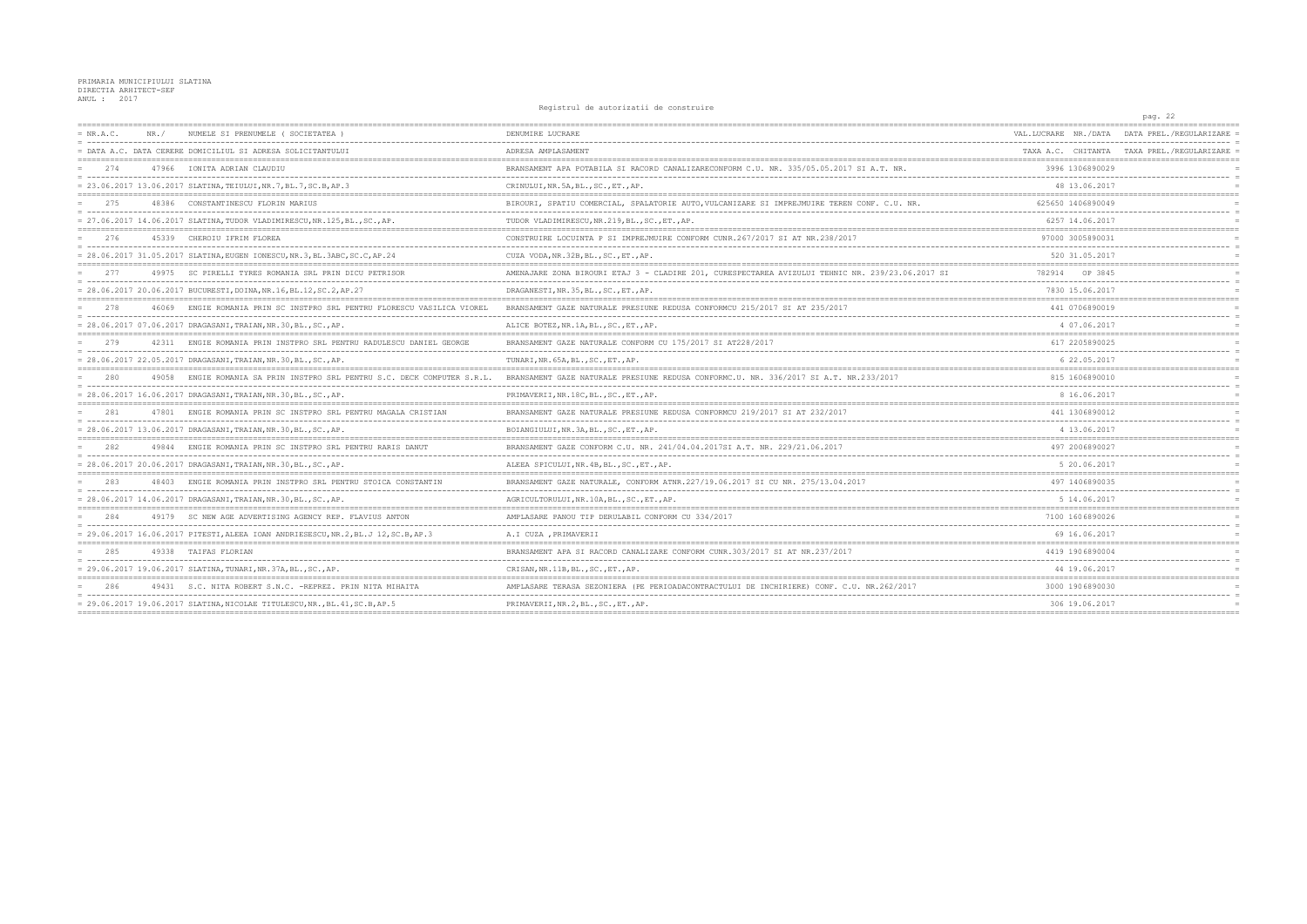|             |       |                                                                                      | de autorizatii de construire                                                                     |                      | pag. 22                                    |
|-------------|-------|--------------------------------------------------------------------------------------|--------------------------------------------------------------------------------------------------|----------------------|--------------------------------------------|
| $= NR.A.C.$ | NR. / | NUMELE SI PRENUMELE (SOCIETATEA                                                      | DENUMIRE LUCRARE                                                                                 | VAL.LUCRARE NR./DATA | DATA PREL./REGULARIZARE                    |
|             |       | = DATA A.C. DATA CERERE DOMICILIUL SI ADRESA SOLICITANTULUI                          | ADRESA AMPLASAMENT                                                                               |                      | TAXA A.C. CHITANTA TAXA PREL./REGULARIZARE |
| 2.74        |       | 47966 IONITA ADRIAN CLAUDIU                                                          | BRANSAMENT APA POTABILA SI RACORD CANALIZARECONFORM C.U. NR. 335/05.05.2017 SI A.T. NR.          | 3996 1306890029      |                                            |
|             |       | $= 23.06.2017$ 13.06.2017 SLATINA, TEIULUI, NR.7, BL.7, SC.B, AP.3                   | CRINULUI, NR. 5A, BL., SC., ET., AP.                                                             | 48 13.06.2017        |                                            |
| 2.75        |       | 48386 CONSTANTINESCU FLORIN MARIUS                                                   | BIROURI, SPATIU COMERCIAL, SPALATORIE AUTO, VULCANIZARE SI IMPREJMUIRE TEREN CONF. C.U. NR.      | 625650 1406890049    |                                            |
|             |       | = 27.06.2017 14.06.2017 SLATINA, TUDOR VLADIMIRESCU, NR.125, BL., SC., AP.           | TUDOR VLADIMIRESCU, NR.219, BL., SC., ET., AP.                                                   | 6257 14.06.2017      |                                            |
| 276         |       | 45339 CHEROIU IFRIM FLOREA                                                           | CONSTRUIRE LOCUINTA P SI IMPREJMUIRE CONFORM CUNR. 267/2017 SI AT NR. 238/2017                   | 97000 3005890031     |                                            |
|             |       | = 28.06.2017 31.05.2017 SLATINA.EUGEN IONESCU.NR.3.BL.3ABC.SC.C.AP.24                | CUZA VODA, NR.32B, BL., SC., ET., AP.                                                            | 520 31.05.2017       |                                            |
| 2.77        |       | 49975 SC PIRELLI TYRES ROMANIA SRL PRIN DICU PETRISOR                                | AMENAJARE ZONA BIROURI ETAJ 3 - CLADIRE 201, CURESPECTAREA AVIZULUI TEHNIC NR. 239/23.06.2017 SI | 782914 OP 3845       |                                            |
|             |       | = 28.06.2017 20.06.2017 BUCURESTI, DOINA, NR.16, BL.12, SC.2, AP.27                  | DRAGANESTI, NR. 35, BL., SC., ET., AP.                                                           | 7830 15.06.2017      |                                            |
| 2.78        | 46069 | ENGIE ROMANIA PRIN SC INSTPRO SRL PENTRU FLORESCU VASILICA VIOREL                    | BRANSAMENT GAZE NATURALE PRESIUNE REDUSA CONFORMCU 215/2017 SI AT 235/2017                       | 441 0706890019       |                                            |
|             |       | $= 28.06.2017 07.06.2017 DRAGASANI, TRAIAN, NR.30, BL., SC., AP.$                    | ALICE BOTEZ, NR. 1A, BL., SC., ET., AP.                                                          | 4 07.06.2017         |                                            |
| 2.79        |       | 42311 ENGIE ROMANIA PRIN INSTPRO SRL PENTRU RADULESCU DANIEL                         | BRANSAMENT GAZE NATURALE CONFORM CU 175/2017 SI AT228/2017                                       | 617 2205890025       |                                            |
|             |       | = 28.06.2017 22.05.2017 DRAGASANI, TRAIAN, NR.30, BL., SC., AP.                      | TUNARI, NR. 65A, BL., SC., ET., AP.                                                              | 6 22.05.2017         |                                            |
| 280         | 49058 | ENGIE ROMANIA SA PRIN INSTPRO SRL PENTRU S.C. DECK COMPUTER S.R.L.                   | BRANSAMENT GAZE NATURALE PRESIUNE REDUSA CONFORMC.U. NR. 336/2017 SI A.T. NR.233/2017            | 815 1606890010       |                                            |
|             |       | = 28.06.2017 16.06.2017 DRAGASANI, TRAIAN, NR.30, BL., SC., AP.                      | PRIMAVERII, NR. 18C, BL., SC., ET., AP.                                                          | 8 16.06.2017         |                                            |
| 2.81        |       | 47801 ENGIE ROMANIA PRIN SC INSTPRO SRL PENTRU MAGALA CRISTIAN                       | BRANSAMENT GAZE NATURALE PRESIUNE REDUSA CONFORMCU 219/2017 SI AT 232/2017                       | 441 1306890012       |                                            |
|             |       | = 28.06.2017 13.06.2017 DRAGASANI, TRAIAN, NR.30, BL., SC., AP.                      | BOIANGIULUI, NR. 3A, BL., SC., ET., AP.                                                          | 4 13.06.2017         |                                            |
| 282         |       | 49844 ENGIE ROMANIA PRIN SC INSTPRO SRL PENTRU RARIS DANUT                           | BRANSAMENT GAZE CONFORM C.U. NR. 241/04.04.2017SI A.T. NR. 229/21.06.2017                        | 497 2006890027       |                                            |
|             |       | = 28.06.2017 20.06.2017 DRAGASANI,TRAIAN,NR.30,BL.,SC.,AP.                           | ALEEA SPICULUI, NR. 4B, BL., SC., ET., AP.                                                       | 5 20.06.2017         |                                            |
| 283         |       | 48403 ENGIE ROMANIA PRIN INSTPRO SRL PENTRU STOICA CONSTANTIN                        | BRANSAMENT GAZE NATURALE, CONFORM ATNR. 227/19.06.2017 SI CU NR. 275/13.04.2017                  | 497 1406890035       |                                            |
|             |       | $= 28.06.2017 14.06.2017 DRAGASANI, TRAIAN, NR.30, BL., SC., AP.$                    | AGRICULTORULUI, NR.10A, BL., SC., ET., AP.                                                       | 5 14.06.2017         |                                            |
| 284         | 49179 | SC NEW AGE ADVERTISING AGENCY REP. FLAVIUS ANTON                                     | AMPLASARE PANOU TIP DERULABIL CONFORM CU 334/2017                                                | 7100 1606890026      |                                            |
|             |       | $= 29.06.2017$ 16.06.2017 PITESTI, ALEEA IOAN ANDRIESESCU, NR.2, BL.J 12, SC.B, AP.3 | A.I CUZA , PRIMAVERII                                                                            | 69 16.06.2017        |                                            |
| 285         |       | 49338 TAIFAS FLORIAN                                                                 | BRANSAMENT APA SI RACORD CANALIZARE CONFORM CUNR.303/2017 SI AT NR.237/2017                      | 4419 1906890004      |                                            |
|             |       | $= 29.06.2017 19.06.2017 SLATINA, TUNARI, NR.37A, BL., SC., AP.$                     | CRISAN, NR.11B, BL., SC., ET., AP.                                                               | 44 19.06.2017        |                                            |
|             |       | 49431 S.C. NITA ROBERT S.N.C. -REPREZ. PRIN NITA MIHAITA                             | AMPLASARE TERASA SEZONIERA (PE PERIOADACONTRACTULUI DE INCHIRIERE) CONF. C.U. NR.262/2017        | 3000 1906890030      |                                            |
|             |       | = 29.06.2017 19.06.2017 SLATINA, NICOLAE TITULESCU, NR., BL.41, SC.B, AP.5           | PRIMAVERII, NR. 2, BL., SC., ET., AP.                                                            | 306 19.06.2017       |                                            |